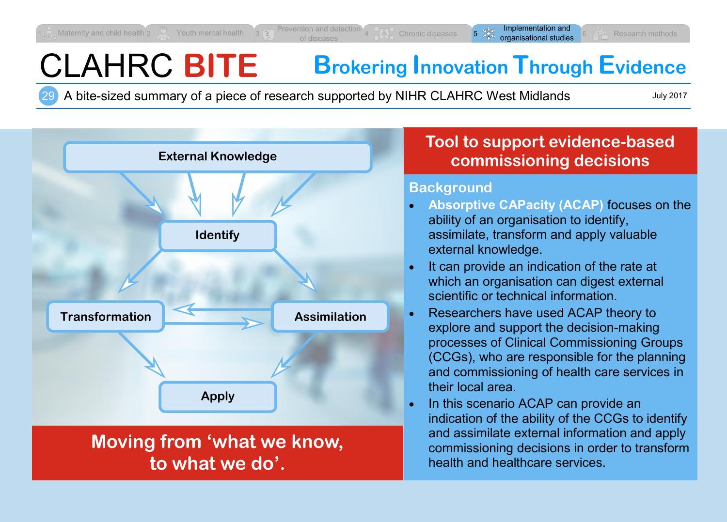# CLAHRC **BITE Brokering Innovation Through Evidence**

29 A bite-sized summary of a piece of research supported by NIHR CLAHRC West Midlands

July 2017



## **Tool to support evidence-based commissioning decisions**

### **Background**

- **Absorptive CAPacity (ACAP)** focuses on the ability of an organisation to identify, assimilate, transform and apply valuable external knowledge.
- It can provide an indication of the rate at which an organisation can digest external scientific or technical information.
- Researchers have used ACAP theory to explore and support the decision-making processes of Clinical Commissioning Groups (CCGs), who are responsible for the planning and commissioning of health care services in their local area.
- In this scenario ACAP can provide an indication of the ability of the CCGs to identify and assimilate external information and apply commissioning decisions in order to transform health and healthcare services.